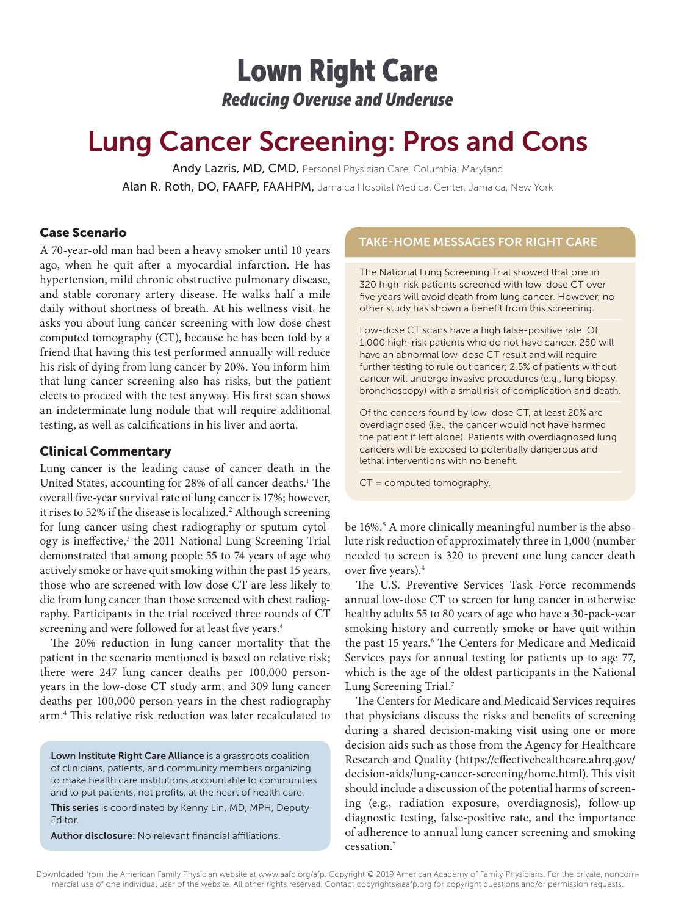## Lown Right Care *Reducing Overuse and Underuse*

# Lung Cancer Screening: Pros and Cons

Andy Lazris, MD, CMD, Personal Physician Care, Columbia, Maryland Alan R. Roth, DO, FAAFP, FAAHPM, Jamaica Hospital Medical Center, Jamaica, New York

## Case Scenario

A 70-year-old man had been a heavy smoker until 10 years ago, when he quit after a myocardial infarction. He has hypertension, mild chronic obstructive pulmonary disease, and stable coronary artery disease. He walks half a mile daily without shortness of breath. At his wellness visit, he asks you about lung cancer screening with low-dose chest computed tomography (CT), because he has been told by a friend that having this test performed annually will reduce his risk of dying from lung cancer by 20%. You inform him that lung cancer screening also has risks, but the patient elects to proceed with the test anyway. His first scan shows an indeterminate lung nodule that will require additional testing, as well as calcifications in his liver and aorta.

## Clinical Commentary

Lung cancer is the leading cause of cancer death in the United States, accounting for 28% of all cancer deaths.<sup>1</sup> The overall five-year survival rate of lung cancer is 17%; however, it rises to 52% if the disease is localized.<sup>2</sup> Although screening for lung cancer using chest radiography or sputum cytology is ineffective,<sup>3</sup> the 2011 National Lung Screening Trial demonstrated that among people 55 to 74 years of age who actively smoke or have quit smoking within the past 15 years, those who are screened with low-dose CT are less likely to die from lung cancer than those screened with chest radiography. Participants in the trial received three rounds of CT screening and were followed for at least five years.<sup>4</sup>

The 20% reduction in lung cancer mortality that the patient in the scenario mentioned is based on relative risk; there were 247 lung cancer deaths per 100,000 personyears in the low-dose CT study arm, and 309 lung cancer deaths per 100,000 person-years in the chest radiography arm.4 This relative risk reduction was later recalculated to

Lown Institute Right Care Alliance is a grassroots coalition of clinicians, patients, and community members organizing to make health care institutions accountable to communities and to put patients, not profits, at the heart of health care. This series is coordinated by Kenny Lin, MD, MPH, Deputy

Editor.

Author disclosure: No relevant financial affiliations.

## TAKE-HOME MESSAGES FOR RIGHT CARE

The National Lung Screening Trial showed that one in 320 high-risk patients screened with low-dose CT over five years will avoid death from lung cancer. However, no other study has shown a benefit from this screening.

Low-dose CT scans have a high false-positive rate. Of 1,000 high-risk patients who do not have cancer, 250 will have an abnormal low-dose CT result and will require further testing to rule out cancer; 2.5% of patients without cancer will undergo invasive procedures (e.g., lung biopsy, bronchoscopy) with a small risk of complication and death.

Of the cancers found by low-dose CT, at least 20% are overdiagnosed (i.e., the cancer would not have harmed the patient if left alone). Patients with overdiagnosed lung cancers will be exposed to potentially dangerous and lethal interventions with no benefit.

CT = computed tomography.

be 16%.5 A more clinically meaningful number is the absolute risk reduction of approximately three in 1,000 (number needed to screen is 320 to prevent one lung cancer death over five years).4

The U.S. Preventive Services Task Force recommends annual low-dose CT to screen for lung cancer in otherwise healthy adults 55 to 80 years of age who have a 30-pack-year smoking history and currently smoke or have quit within the past 15 years.<sup>6</sup> The Centers for Medicare and Medicaid Services pays for annual testing for patients up to age 77, which is the age of the oldest participants in the National Lung Screening Trial.7

The Centers for Medicare and Medicaid Services requires that physicians discuss the risks and benefits of screening during a shared decision-making visit using one or more decision aids such as those from the Agency for Healthcare Research and Quality (https://effectivehealthcare.ahrq.gov/ decision-aids/lung-cancer-screening/home.html). This visit should include a discussion of the potential harms of screening (e.g., radiation exposure, overdiagnosis), follow-up diagnostic testing, false-positive rate, and the importance of adherence to annual lung cancer screening and smoking cessation.7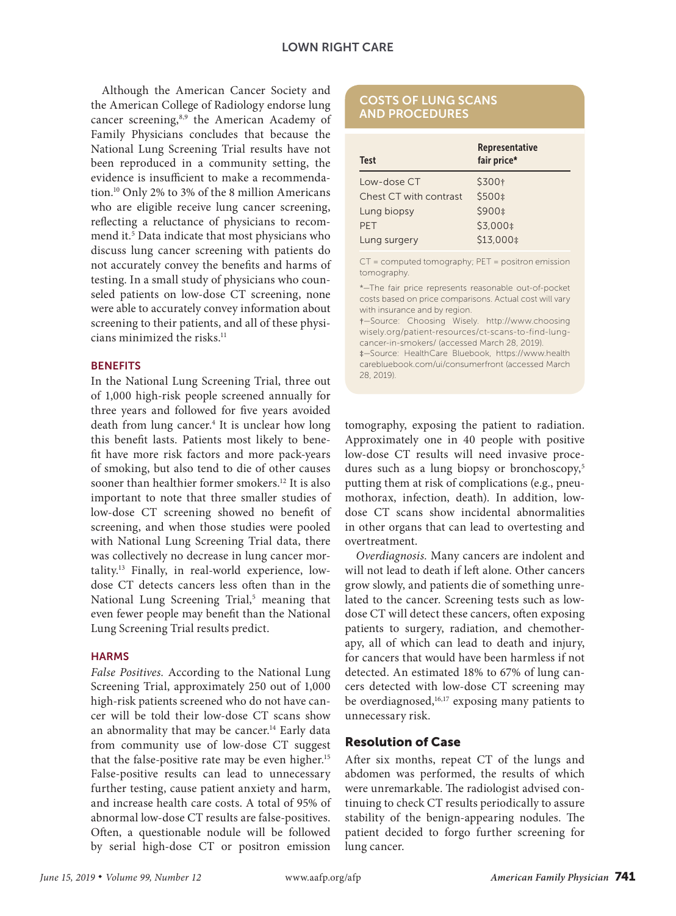### LOWN RIGHT CARE

Although the American Cancer Society and the American College of Radiology endorse lung cancer screening,<sup>8,9</sup> the American Academy of Family Physicians concludes that because the National Lung Screening Trial results have not been reproduced in a community setting, the evidence is insufficient to make a recommendation.10 Only 2% to 3% of the 8 million Americans who are eligible receive lung cancer screening, reflecting a reluctance of physicians to recommend it.<sup>5</sup> Data indicate that most physicians who discuss lung cancer screening with patients do not accurately convey the benefits and harms of testing. In a small study of physicians who counseled patients on low-dose CT screening, none were able to accurately convey information about screening to their patients, and all of these physicians minimized the risks.<sup>11</sup>

#### **BENEFITS**

In the National Lung Screening Trial, three out of 1,000 high-risk people screened annually for three years and followed for five years avoided death from lung cancer.<sup>4</sup> It is unclear how long this benefit lasts. Patients most likely to benefit have more risk factors and more pack-years of smoking, but also tend to die of other causes sooner than healthier former smokers.<sup>12</sup> It is also important to note that three smaller studies of low-dose CT screening showed no benefit of screening, and when those studies were pooled with National Lung Screening Trial data, there was collectively no decrease in lung cancer mortality.13 Finally, in real-world experience, lowdose CT detects cancers less often than in the National Lung Screening Trial,<sup>5</sup> meaning that even fewer people may benefit than the National Lung Screening Trial results predict.

#### **HARMS**

*False Positives.* According to the National Lung Screening Trial, approximately 250 out of 1,000 high-risk patients screened who do not have cancer will be told their low-dose CT scans show an abnormality that may be cancer.<sup>14</sup> Early data from community use of low-dose CT suggest that the false-positive rate may be even higher.<sup>15</sup> False-positive results can lead to unnecessary further testing, cause patient anxiety and harm, and increase health care costs. A total of 95% of abnormal low-dose CT results are false-positives. Often, a questionable nodule will be followed by serial high-dose CT or positron emission

#### COSTS OF LUNG SCANS AND PROCEDURES

| <b>Test</b>            | Representative<br>fair price* |
|------------------------|-------------------------------|
| Low-dose CT            | \$300+                        |
| Chest CT with contrast | \$500 ‡                       |
| Lung biopsy            | \$900‡                        |
| PFT                    | \$3,000 ±                     |
| Lung surgery           | \$13,000 \$                   |

CT = computed tomography; PET = positron emission tomography.

\*—The fair price represents reasonable out-of-pocket costs based on price comparisons. Actual cost will vary with insurance and by region.

†—Source: Choosing Wisely. http://www.choosing wisely.org/patient-resources/ct-scans-to-find-lungcancer-in-smokers/ (accessed March 28, 2019). ‡—Source: HealthCare Bluebook, https://www.health carebluebook.com/ui/consumerfront (accessed March 28, 2019).

tomography, exposing the patient to radiation. Approximately one in 40 people with positive low-dose CT results will need invasive procedures such as a lung biopsy or bronchoscopy,<sup>5</sup> putting them at risk of complications (e.g., pneumothorax, infection, death). In addition, lowdose CT scans show incidental abnormalities in other organs that can lead to overtesting and overtreatment.

*Overdiagnosis.* Many cancers are indolent and will not lead to death if left alone. Other cancers grow slowly, and patients die of something unrelated to the cancer. Screening tests such as lowdose CT will detect these cancers, often exposing patients to surgery, radiation, and chemotherapy, all of which can lead to death and injury, for cancers that would have been harmless if not detected. An estimated 18% to 67% of lung cancers detected with low-dose CT screening may be overdiagnosed, $16,17$  exposing many patients to unnecessary risk.

## Resolution of Case

After six months, repeat CT of the lungs and abdomen was performed, the results of which were unremarkable. The radiologist advised continuing to check CT results periodically to assure stability of the benign-appearing nodules. The patient decided to forgo further screening for lung cancer.